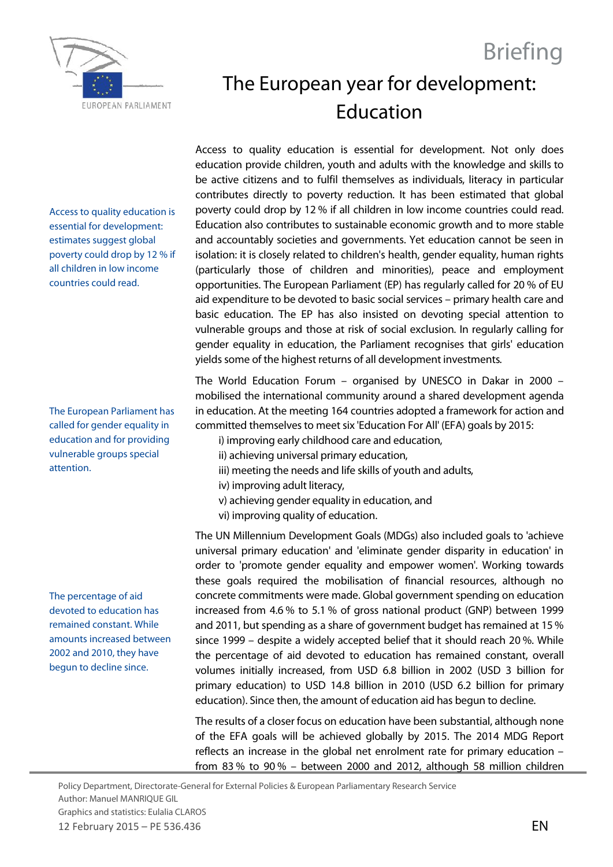



## The European year for development: Education

Access to quality education is essential for development: estimates suggest global poverty could drop by 12 % if all children in low income countries could read.

The European Parliament has called for gender equality in education and for providing vulnerable groups special attention.

The percentage of aid devoted to education has remained constant. While amounts increased between 2002 and 2010, they have begun to decline since.

Access to quality education is essential for development. Not only does education provide children, youth and adults with the knowledge and skills to be active citizens and to fulfil themselves as individuals, literacy in particular contributes directly to poverty reduction. It has been estimated that global poverty could drop by 12 % if all children in low income countries could read. Education also contributes to sustainable economic growth and to more stable and accountably societies and governments. Yet education cannot be seen in isolation: it is closely related to children's health, gender equality, human rights (particularly those of children and minorities), peace and employment opportunities. The European Parliament (EP) has regularly called for 20 % of EU aid expenditure to be devoted to basic social services – primary health care and basic education. The EP has also insisted on devoting special attention to vulnerable groups and those at risk of social exclusion. In regularly calling for gender equality in education, the Parliament recognises that girls' education yields some of the highest returns of all development investments.

The World Education Forum – organised by UNESCO in Dakar in 2000 – mobilised the international community around a shared development agenda in education. At the meeting 164 countries adopted a framework for action and committed themselves to meet six 'Education For All' (EFA) goals by 2015:

- i) improving early childhood care and education,
- ii) achieving universal primary education,
- iii) meeting the needs and life skills of youth and adults,
- iv) improving adult literacy,
- v) achieving gender equality in education, and
- vi) improving quality of education.

The UN Millennium Development Goals (MDGs) also included goals to 'achieve universal primary education' and 'eliminate gender disparity in education' in order to 'promote gender equality and empower women'. Working towards these goals required the mobilisation of financial resources, although no concrete commitments were made. Global government spending on education increased from 4.6 % to 5.1 % of gross national product (GNP) between 1999 and 2011, but spending as a share of government budget has remained at 15 % since 1999 – despite a widely accepted belief that it should reach 20 %. While the percentage of aid devoted to education has remained constant, overall volumes initially increased, from USD 6.8 billion in 2002 (USD 3 billion for primary education) to USD 14.8 billion in 2010 (USD 6.2 billion for primary education). Since then, the amount of education aid has begun to decline.

The results of a closer focus on education have been substantial, although none of the EFA goals will be achieved globally by 2015. The 2014 MDG Report reflects an increase in the global net enrolment rate for primary education – from 83 % to 90 % – between 2000 and 2012, although 58 million children

Policy Department, Directorate-General for External Policies & European Parliamentary Research Service Author: Manuel MANRIQUE GIL Graphics and statistics: Eulalia CLAROS 12 February 2015 – PE 536.436 EN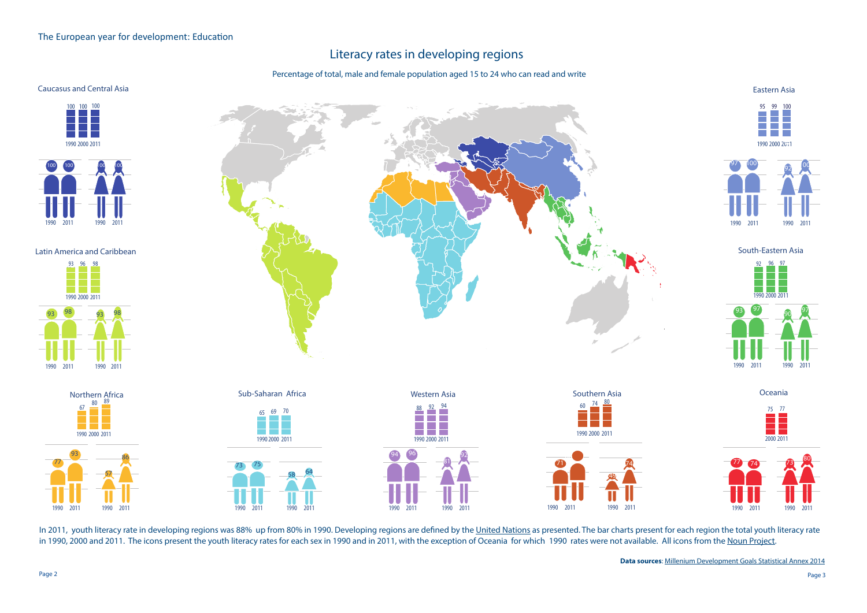Page 2 Page 3 **Data sources**: Millenium Development Goals Statistical Annex 2014

## Literacy rates in developing regions

Percentage of total, male and female population aged 15 to 24 who can read and write

In 2011, youth literacy rate in developing regions was 88% up from 80% in 1990. Developing regions are defined by the United Nations as presented. The bar charts present for each region the total youth literacy rate in 1990, 2000 and 2011. The icons present the youth literacy rates for each sex in 1990 and in 2011, with the exception of Oceania for which 1990 rates were not available. All icons from the Noun Project.

Latin America and Caribbean

Eastern Asia





## Caucasus and Central Asia